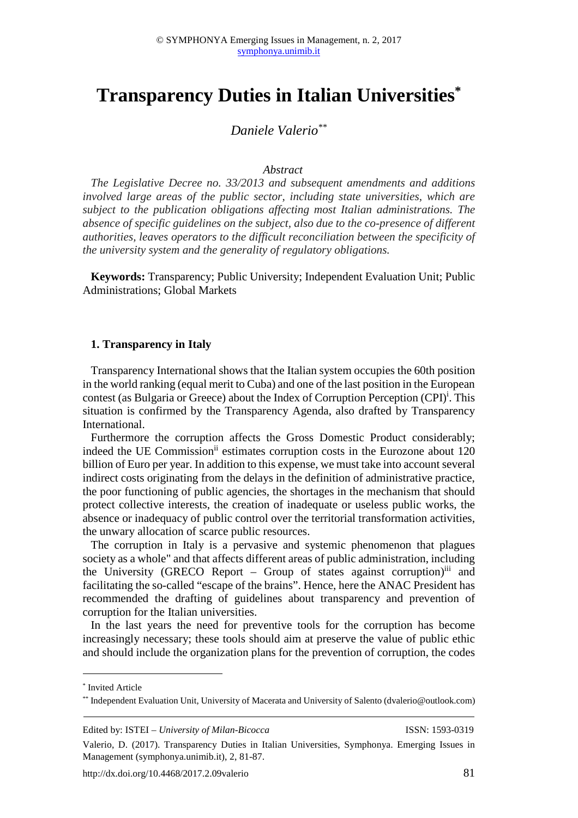# **Transparency Duties in Italian Universities\***

# *Daniele Valerio\*\**

#### *Abstract*

*The Legislative Decree no. 33/2013 and subsequent amendments and additions involved large areas of the public sector, including state universities, which are subject to the publication obligations affecting most Italian administrations. The absence of specific guidelines on the subject, also due to the co-presence of different authorities, leaves operators to the difficult reconciliation between the specificity of the university system and the generality of regulatory obligations.* 

**Keywords:** Transparency; Public University; Independent Evaluation Unit; Public Administrations; Global Markets

#### **1. Transparency in Italy**

Transparency International shows that the Italian system occupies the 60th position in the world ranking (equal merit to Cuba) and one of the last position in the European contest (as Bulgaria or Greece) about the Index of Corruption Perception (CPI)<sup>i</sup>. This situation is confirmed by the Transparency Agenda, also drafted by Transparency International.

Furthermore the corruption affects the Gross Domestic Product considerably; indeed the UE Commission<sup>ii</sup> estimates corruption costs in the Eurozone about 120 billion of Euro per year. In addition to this expense, we must take into account several indirect costs originating from the delays in the definition of administrative practice, the poor functioning of public agencies, the shortages in the mechanism that should protect collective interests, the creation of inadequate or useless public works, the absence or inadequacy of public control over the territorial transformation activities, the unwary allocation of scarce public resources.

The corruption in Italy is a pervasive and systemic phenomenon that plagues society as a whole" and that affects different areas of public administration, including the University (GRECO Report - Group of states against corruption)<sup>iii</sup> and facilitating the so-called "escape of the brains". Hence, here the ANAC President has recommended the drafting of guidelines about transparency and prevention of corruption for the Italian universities.

In the last years the need for preventive tools for the corruption has become increasingly necessary; these tools should aim at preserve the value of public ethic and should include the organization plans for the prevention of corruption, the codes

 $\overline{a}$ 

```
Edited by: ISTEI – University of Milan-Bicocca ISSN: 1593-0319
```
<sup>\*</sup> Invited Article

<sup>\*\*</sup> Independent Evaluation Unit, University of Macerata and University of Salento (dvalerio@outlook.com)

Valerio, D. (2017). Transparency Duties in Italian Universities, Symphonya. Emerging Issues in Management (symphonya.unimib.it), 2, 81-87.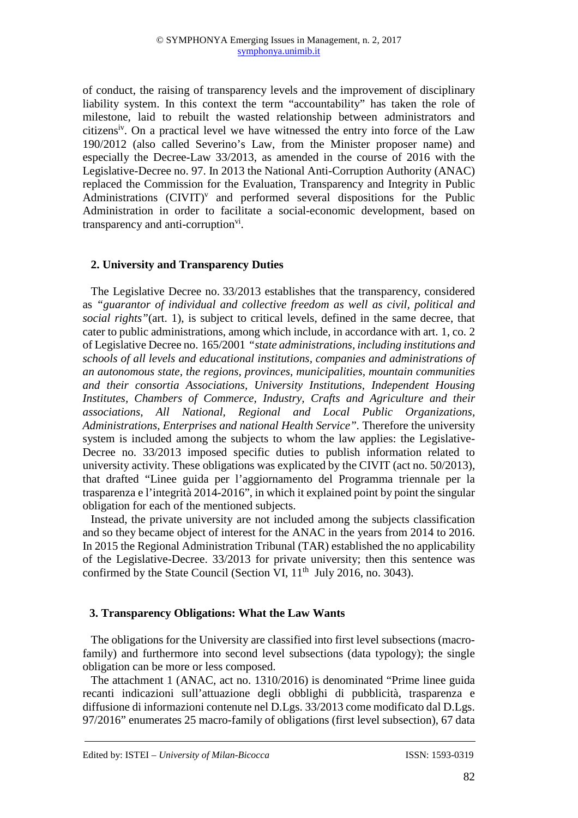of conduct, the raising of transparency levels and the improvement of disciplinary liability system. In this context the term "accountability" has taken the role of milestone, laid to rebuilt the wasted relationship between administrators and citizens<sup>iv</sup>. On a practical level we have witnessed the entry into force of the Law 190/2012 (also called Severino's Law, from the Minister proposer name) and especially the Decree-Law 33/2013, as amended in the course of 2016 with the Legislative-Decree no. 97. In 2013 the National Anti-Corruption Authority (ANAC) replaced the Commission for the Evaluation, Transparency and Integrity in Public Administrations  $(CIVIT)^v$  and performed several dispositions for the Public Administration in order to facilitate a social-economic development, based on transparency and anti-corruption<sup>vi</sup>.

## **2. University and Transparency Duties**

The Legislative Decree no. 33/2013 establishes that the transparency, considered as *"guarantor of individual and collective freedom as well as civil, political and social rights"*(art. 1), is subject to critical levels, defined in the same decree, that cater to public administrations, among which include, in accordance with art. 1, co. 2 of Legislative Decree no. 165/2001 *"state administrations, including institutions and schools of all levels and educational institutions, companies and administrations of an autonomous state, the regions, provinces, municipalities, mountain communities and their consortia Associations, University Institutions, Independent Housing Institutes, Chambers of Commerce, Industry, Crafts and Agriculture and their associations, All National, Regional and Local Public Organizations, Administrations, Enterprises and national Health Service".* Therefore the university system is included among the subjects to whom the law applies: the Legislative-Decree no. 33/2013 imposed specific duties to publish information related to university activity. These obligations was explicated by the CIVIT (act no. 50/2013), that drafted "Linee guida per l'aggiornamento del Programma triennale per la trasparenza e l'integrità 2014-2016", in which it explained point by point the singular obligation for each of the mentioned subjects.

Instead, the private university are not included among the subjects classification and so they became object of interest for the ANAC in the years from 2014 to 2016. In 2015 the Regional Administration Tribunal (TAR) established the no applicability of the Legislative-Decree. 33/2013 for private university; then this sentence was confirmed by the State Council (Section VI,  $11<sup>th</sup>$  July 2016, no. 3043).

#### **3. Transparency Obligations: What the Law Wants**

The obligations for the University are classified into first level subsections (macrofamily) and furthermore into second level subsections (data typology); the single obligation can be more or less composed.

The attachment 1 (ANAC, act no. 1310/2016) is denominated "Prime linee guida recanti indicazioni sull'attuazione degli obblighi di pubblicità, trasparenza e diffusione di informazioni contenute nel D.Lgs. 33/2013 come modificato dal D.Lgs. 97/2016" enumerates 25 macro-family of obligations (first level subsection), 67 data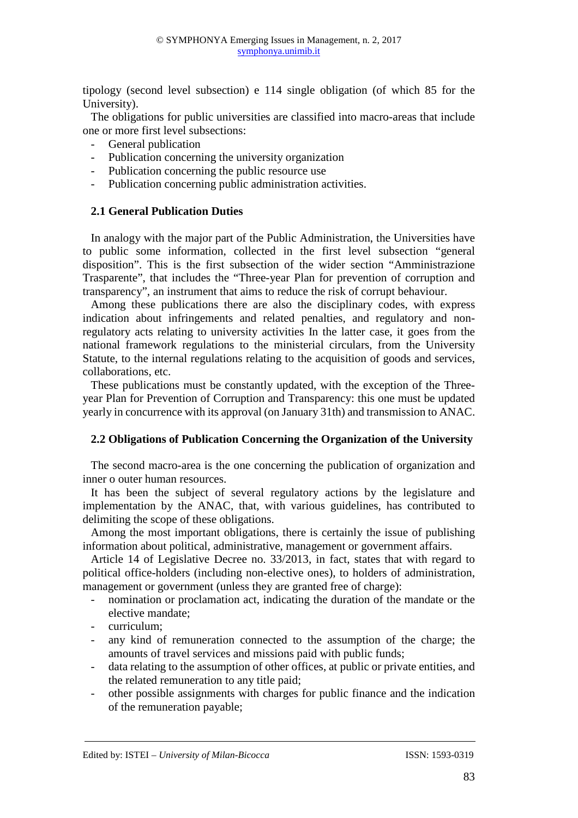tipology (second level subsection) e 114 single obligation (of which 85 for the University).

The obligations for public universities are classified into macro-areas that include one or more first level subsections:

- General publication
- Publication concerning the university organization
- Publication concerning the public resource use
- Publication concerning public administration activities.

## **2.1 General Publication Duties**

In analogy with the major part of the Public Administration, the Universities have to public some information, collected in the first level subsection "general disposition". This is the first subsection of the wider section "Amministrazione Trasparente", that includes the "Three-year Plan for prevention of corruption and transparency", an instrument that aims to reduce the risk of corrupt behaviour.

Among these publications there are also the disciplinary codes, with express indication about infringements and related penalties, and regulatory and nonregulatory acts relating to university activities In the latter case, it goes from the national framework regulations to the ministerial circulars, from the University Statute, to the internal regulations relating to the acquisition of goods and services, collaborations, etc.

These publications must be constantly updated, with the exception of the Threeyear Plan for Prevention of Corruption and Transparency: this one must be updated yearly in concurrence with its approval (on January 31th) and transmission to ANAC.

# **2.2 Obligations of Publication Concerning the Organization of the University**

The second macro-area is the one concerning the publication of organization and inner o outer human resources.

It has been the subject of several regulatory actions by the legislature and implementation by the ANAC, that, with various guidelines, has contributed to delimiting the scope of these obligations.

Among the most important obligations, there is certainly the issue of publishing information about political, administrative, management or government affairs.

Article 14 of Legislative Decree no. 33/2013, in fact, states that with regard to political office-holders (including non-elective ones), to holders of administration, management or government (unless they are granted free of charge):

- nomination or proclamation act, indicating the duration of the mandate or the elective mandate;
- curriculum;
- any kind of remuneration connected to the assumption of the charge; the amounts of travel services and missions paid with public funds;
- data relating to the assumption of other offices, at public or private entities, and the related remuneration to any title paid;
- other possible assignments with charges for public finance and the indication of the remuneration payable;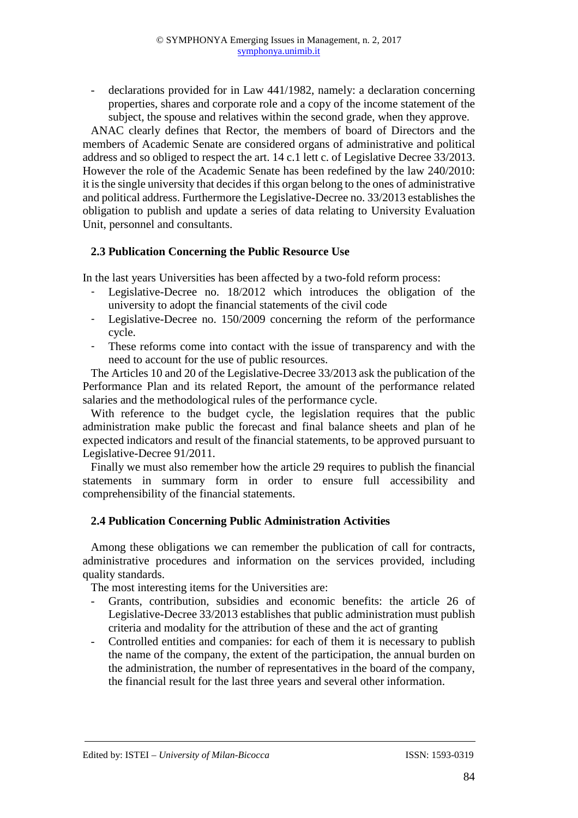- declarations provided for in Law 441/1982, namely: a declaration concerning properties, shares and corporate role and a copy of the income statement of the subject, the spouse and relatives within the second grade, when they approve.

ANAC clearly defines that Rector, the members of board of Directors and the members of Academic Senate are considered organs of administrative and political address and so obliged to respect the art. 14 c.1 lett c. of Legislative Decree 33/2013. However the role of the Academic Senate has been redefined by the law 240/2010: it is the single university that decides if this organ belong to the ones of administrative and political address. Furthermore the Legislative-Decree no. 33/2013 establishes the obligation to publish and update a series of data relating to University Evaluation Unit, personnel and consultants.

## **2.3 Publication Concerning the Public Resource Use**

In the last years Universities has been affected by a two-fold reform process:

- Legislative-Decree no. 18/2012 which introduces the obligation of the university to adopt the financial statements of the civil code
- Legislative-Decree no. 150/2009 concerning the reform of the performance cycle.
- These reforms come into contact with the issue of transparency and with the need to account for the use of public resources.

The Articles 10 and 20 of the Legislative-Decree 33/2013 ask the publication of the Performance Plan and its related Report, the amount of the performance related salaries and the methodological rules of the performance cycle.

With reference to the budget cycle, the legislation requires that the public administration make public the forecast and final balance sheets and plan of he expected indicators and result of the financial statements, to be approved pursuant to Legislative-Decree 91/2011.

Finally we must also remember how the article 29 requires to publish the financial statements in summary form in order to ensure full accessibility and comprehensibility of the financial statements.

# **2.4 Publication Concerning Public Administration Activities**

Among these obligations we can remember the publication of call for contracts, administrative procedures and information on the services provided, including quality standards.

The most interesting items for the Universities are:

- Grants, contribution, subsidies and economic benefits: the article 26 of Legislative-Decree 33/2013 establishes that public administration must publish criteria and modality for the attribution of these and the act of granting
- Controlled entities and companies: for each of them it is necessary to publish the name of the company, the extent of the participation, the annual burden on the administration, the number of representatives in the board of the company, the financial result for the last three years and several other information.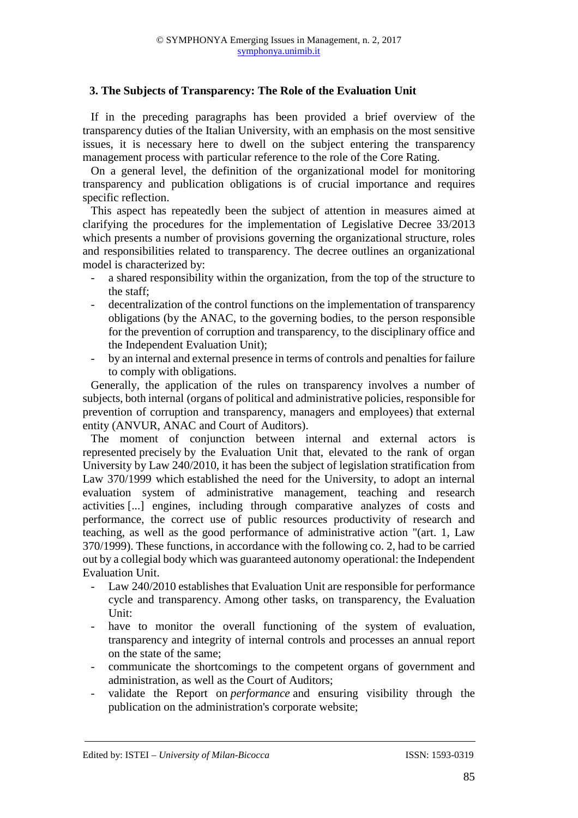# **3. The Subjects of Transparency: The Role of the Evaluation Unit**

If in the preceding paragraphs has been provided a brief overview of the transparency duties of the Italian University, with an emphasis on the most sensitive issues, it is necessary here to dwell on the subject entering the transparency management process with particular reference to the role of the Core Rating.

On a general level, the definition of the organizational model for monitoring transparency and publication obligations is of crucial importance and requires specific reflection.

This aspect has repeatedly been the subject of attention in measures aimed at clarifying the procedures for the implementation of Legislative Decree 33/2013 which presents a number of provisions governing the organizational structure, roles and responsibilities related to transparency. The decree outlines an organizational model is characterized by:

- a shared responsibility within the organization, from the top of the structure to the staff;
- decentralization of the control functions on the implementation of transparency obligations (by the ANAC, to the governing bodies, to the person responsible for the prevention of corruption and transparency, to the disciplinary office and the Independent Evaluation Unit);
- by an internal and external presence in terms of controls and penalties for failure to comply with obligations.

Generally, the application of the rules on transparency involves a number of subjects, both internal (organs of political and administrative policies, responsible for prevention of corruption and transparency, managers and employees) that external entity (ANVUR, ANAC and Court of Auditors).

The moment of conjunction between internal and external actors is represented precisely by the Evaluation Unit that, elevated to the rank of organ University by Law 240/2010, it has been the subject of legislation stratification from Law 370/1999 which established the need for the University, to adopt an internal evaluation system of administrative management, teaching and research activities [...] engines, including through comparative analyzes of costs and performance, the correct use of public resources productivity of research and teaching, as well as the good performance of administrative action "(art. 1, Law 370/1999). These functions, in accordance with the following co. 2, had to be carried out by a collegial body which was guaranteed autonomy operational: the Independent Evaluation Unit.

- Law 240/2010 establishes that Evaluation Unit are responsible for performance cycle and transparency. Among other tasks, on transparency, the Evaluation Unit:
- have to monitor the overall functioning of the system of evaluation, transparency and integrity of internal controls and processes an annual report on the state of the same;
- communicate the shortcomings to the competent organs of government and administration, as well as the Court of Auditors;
- validate the Report on *performance* and ensuring visibility through the publication on the administration's corporate website;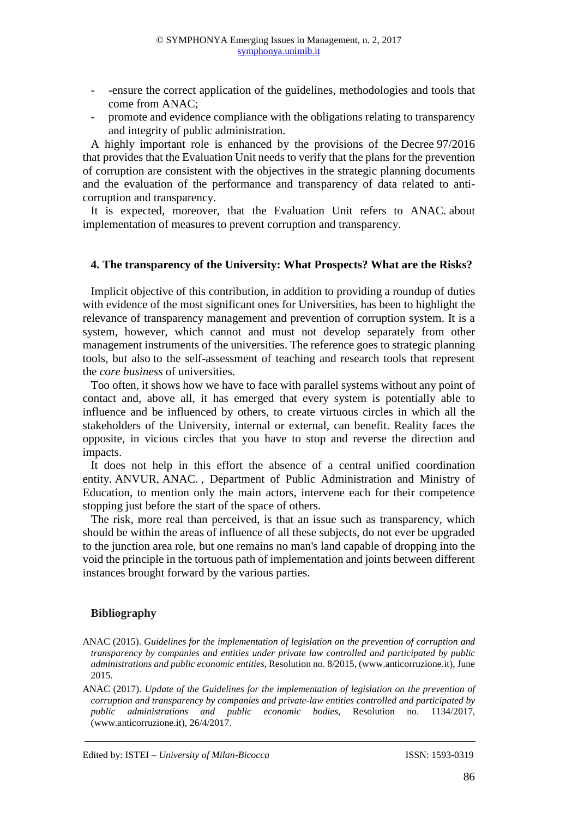- -ensure the correct application of the guidelines, methodologies and tools that come from ANAC;
- promote and evidence compliance with the obligations relating to transparency and integrity of public administration.

A highly important role is enhanced by the provisions of the Decree 97/2016 that provides that the Evaluation Unit needs to verify that the plans for the prevention of corruption are consistent with the objectives in the strategic planning documents and the evaluation of the performance and transparency of data related to anticorruption and transparency.

It is expected, moreover, that the Evaluation Unit refers to ANAC. about implementation of measures to prevent corruption and transparency.

#### **4. The transparency of the University: What Prospects? What are the Risks?**

Implicit objective of this contribution, in addition to providing a roundup of duties with evidence of the most significant ones for Universities, has been to highlight the relevance of transparency management and prevention of corruption system. It is a system, however, which cannot and must not develop separately from other management instruments of the universities. The reference goes to strategic planning tools, but also to the self-assessment of teaching and research tools that represent the *core business* of universities.

Too often, it shows how we have to face with parallel systems without any point of contact and, above all, it has emerged that every system is potentially able to influence and be influenced by others, to create virtuous circles in which all the stakeholders of the University, internal or external, can benefit. Reality faces the opposite, in vicious circles that you have to stop and reverse the direction and impacts.

It does not help in this effort the absence of a central unified coordination entity. ANVUR, ANAC. , Department of Public Administration and Ministry of Education, to mention only the main actors, intervene each for their competence stopping just before the start of the space of others.

The risk, more real than perceived, is that an issue such as transparency, which should be within the areas of influence of all these subjects, do not ever be upgraded to the junction area role, but one remains no man's land capable of dropping into the void the principle in the tortuous path of implementation and joints between different instances brought forward by the various parties.

#### **Bibliography**

ANAC (2015). *Guidelines for the implementation of legislation on the prevention of corruption and transparency by companies and entities under private law controlled and participated by public administrations and public economic entities*, Resolution no. 8/2015, (www.anticorruzione.it), June 2015.

ANAC (2017). *Update of the Guidelines for the implementation of legislation on the prevention of corruption and transparency by companies and private-law entities controlled and participated by public administrations and public economic bodies*, Resolution no. 1134/2017, (www.anticorruzione.it), 26/4/2017.